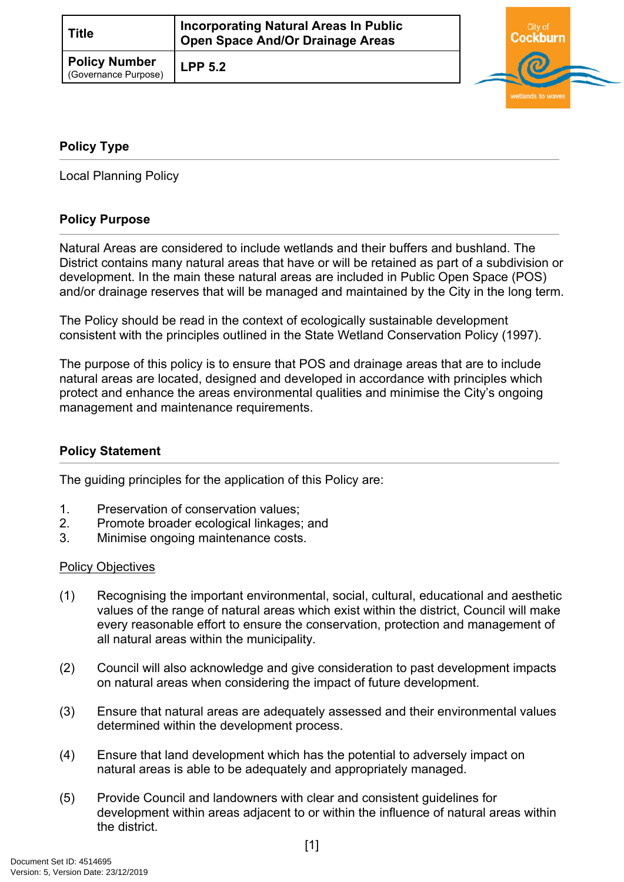| <b>Title</b>                                 | <b>Incorporating Natural Areas In Public</b><br><b>Open Space And/Or Drainage Areas</b> | City of |  |
|----------------------------------------------|-----------------------------------------------------------------------------------------|---------|--|
| <b>Policy Number</b><br>(Governance Purpose) | <b>LPP 5.2</b>                                                                          | 61      |  |

# <span id="page-0-0"></span>**[Policy Type](#page-0-0)**

Local Planning Policy

## **Policy Purpose**

Natural Areas are considered to include wetlands and their buffers and bushland. The District contains many natural areas that have or will be retained as part of a subdivision or development. In the main these natural areas are included in Public Open Space (POS) and/or drainage reserves that will be managed and maintained by the City in the long term.

The Policy should be read in the context of ecologically sustainable development consistent with the principles outlined in the State Wetland Conservation Policy (1997).

The purpose of this policy is to ensure that POS and drainage areas that are to include natural areas are located, designed and developed in accordance with principles which protect and enhance the areas environmental qualities and minimise the City's ongoing management and maintenance requirements.

## **Policy Statement**

The guiding principles for the application of this Policy are:

- 1. Preservation of conservation values;
- 2. Promote broader ecological linkages; and
- 3. Minimise ongoing maintenance costs.

#### Policy Objectives

- (1) Recognising the important environmental, social, cultural, educational and aesthetic values of the range of natural areas which exist within the district, Council will make every reasonable effort to ensure the conservation, protection and management of all natural areas within the municipality.
- (2) Council will also acknowledge and give consideration to past development impacts on natural areas when considering the impact of future development.
- (3) Ensure that natural areas are adequately assessed and their environmental values determined within the development process.
- (4) Ensure that land development which has the potential to adversely impact on natural areas is able to be adequately and appropriately managed.
- (5) Provide Council and landowners with clear and consistent guidelines for development within areas adjacent to or within the influence of natural areas within the district.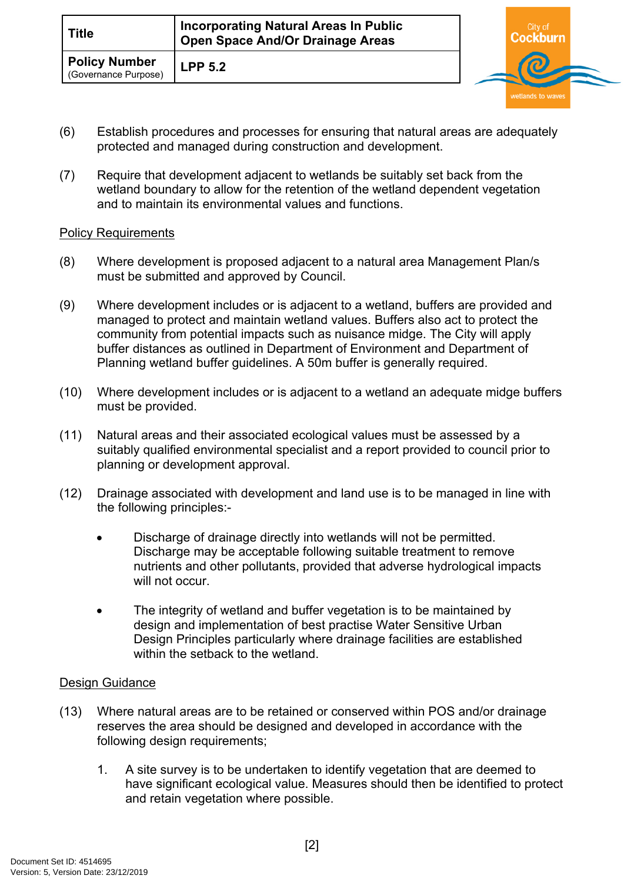| <b>Title</b>                                 | <b>Incorporating Natural Areas In Public</b><br><b>Open Space And/Or Drainage Areas</b> | City of |  |
|----------------------------------------------|-----------------------------------------------------------------------------------------|---------|--|
| <b>Policy Number</b><br>(Governance Purpose) | LPP <sub>5.2</sub>                                                                      | බ       |  |

- (6) Establish procedures and processes for ensuring that natural areas are adequately protected and managed during construction and development.
- (7) Require that development adjacent to wetlands be suitably set back from the wetland boundary to allow for the retention of the wetland dependent vegetation and to maintain its environmental values and functions.

## Policy Requirements

- (8) Where development is proposed adjacent to a natural area Management Plan/s must be submitted and approved by Council.
- (9) Where development includes or is adjacent to a wetland, buffers are provided and managed to protect and maintain wetland values. Buffers also act to protect the community from potential impacts such as nuisance midge. The City will apply buffer distances as outlined in Department of Environment and Department of Planning wetland buffer guidelines. A 50m buffer is generally required.
- (10) Where development includes or is adjacent to a wetland an adequate midge buffers must be provided.
- (11) Natural areas and their associated ecological values must be assessed by a suitably qualified environmental specialist and a report provided to council prior to planning or development approval.
- (12) Drainage associated with development and land use is to be managed in line with the following principles:-
	- Discharge of drainage directly into wetlands will not be permitted. Discharge may be acceptable following suitable treatment to remove nutrients and other pollutants, provided that adverse hydrological impacts will not occur
	- The integrity of wetland and buffer vegetation is to be maintained by design and implementation of best practise Water Sensitive Urban Design Principles particularly where drainage facilities are established within the setback to the wetland.

#### Design Guidance

- (13) Where natural areas are to be retained or conserved within POS and/or drainage reserves the area should be designed and developed in accordance with the following design requirements;
	- 1. A site survey is to be undertaken to identify vegetation that are deemed to have significant ecological value. Measures should then be identified to protect and retain vegetation where possible.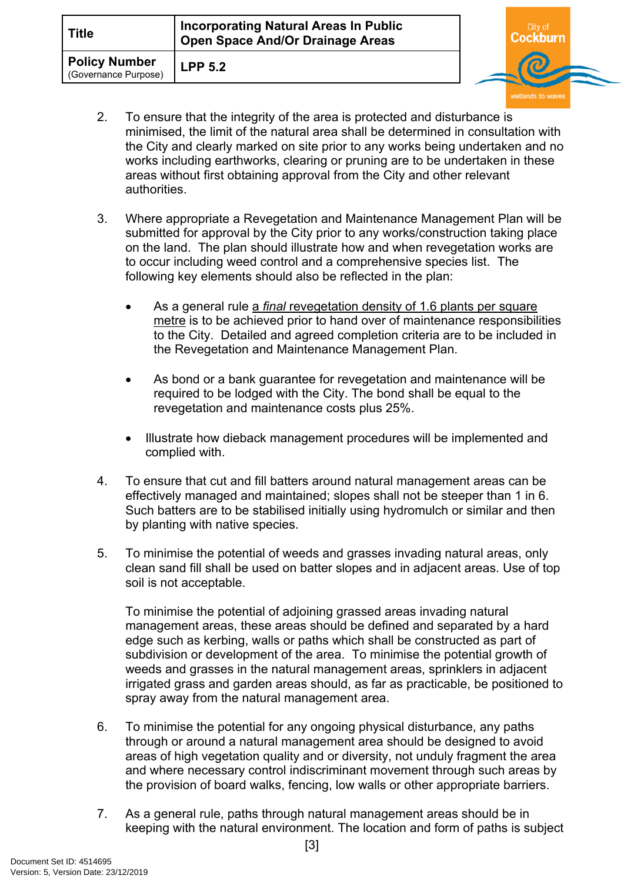| <b>Title</b>                                 | <b>Incorporating Natural Areas In Public</b><br><b>Open Space And/Or Drainage Areas</b> | City of |  |
|----------------------------------------------|-----------------------------------------------------------------------------------------|---------|--|
| <b>Policy Number</b><br>(Governance Purpose) | <b>LPP 5.2</b>                                                                          |         |  |

- 2. To ensure that the integrity of the area is protected and disturbance is minimised, the limit of the natural area shall be determined in consultation with the City and clearly marked on site prior to any works being undertaken and no works including earthworks, clearing or pruning are to be undertaken in these areas without first obtaining approval from the City and other relevant authorities.
- 3. Where appropriate a Revegetation and Maintenance Management Plan will be submitted for approval by the City prior to any works/construction taking place on the land. The plan should illustrate how and when revegetation works are to occur including weed control and a comprehensive species list. The following key elements should also be reflected in the plan:
	- As a general rule a *final* revegetation density of 1.6 plants per square metre is to be achieved prior to hand over of maintenance responsibilities to the City. Detailed and agreed completion criteria are to be included in the Revegetation and Maintenance Management Plan.
	- As bond or a bank guarantee for revegetation and maintenance will be required to be lodged with the City. The bond shall be equal to the revegetation and maintenance costs plus 25%.
	- Illustrate how dieback management procedures will be implemented and complied with.
- 4. To ensure that cut and fill batters around natural management areas can be effectively managed and maintained; slopes shall not be steeper than 1 in 6. Such batters are to be stabilised initially using hydromulch or similar and then by planting with native species.
- 5. To minimise the potential of weeds and grasses invading natural areas, only clean sand fill shall be used on batter slopes and in adjacent areas. Use of top soil is not acceptable.

To minimise the potential of adjoining grassed areas invading natural management areas, these areas should be defined and separated by a hard edge such as kerbing, walls or paths which shall be constructed as part of subdivision or development of the area. To minimise the potential growth of weeds and grasses in the natural management areas, sprinklers in adjacent irrigated grass and garden areas should, as far as practicable, be positioned to spray away from the natural management area.

- 6. To minimise the potential for any ongoing physical disturbance, any paths through or around a natural management area should be designed to avoid areas of high vegetation quality and or diversity, not unduly fragment the area and where necessary control indiscriminant movement through such areas by the provision of board walks, fencing, low walls or other appropriate barriers.
- 7. As a general rule, paths through natural management areas should be in keeping with the natural environment. The location and form of paths is subject